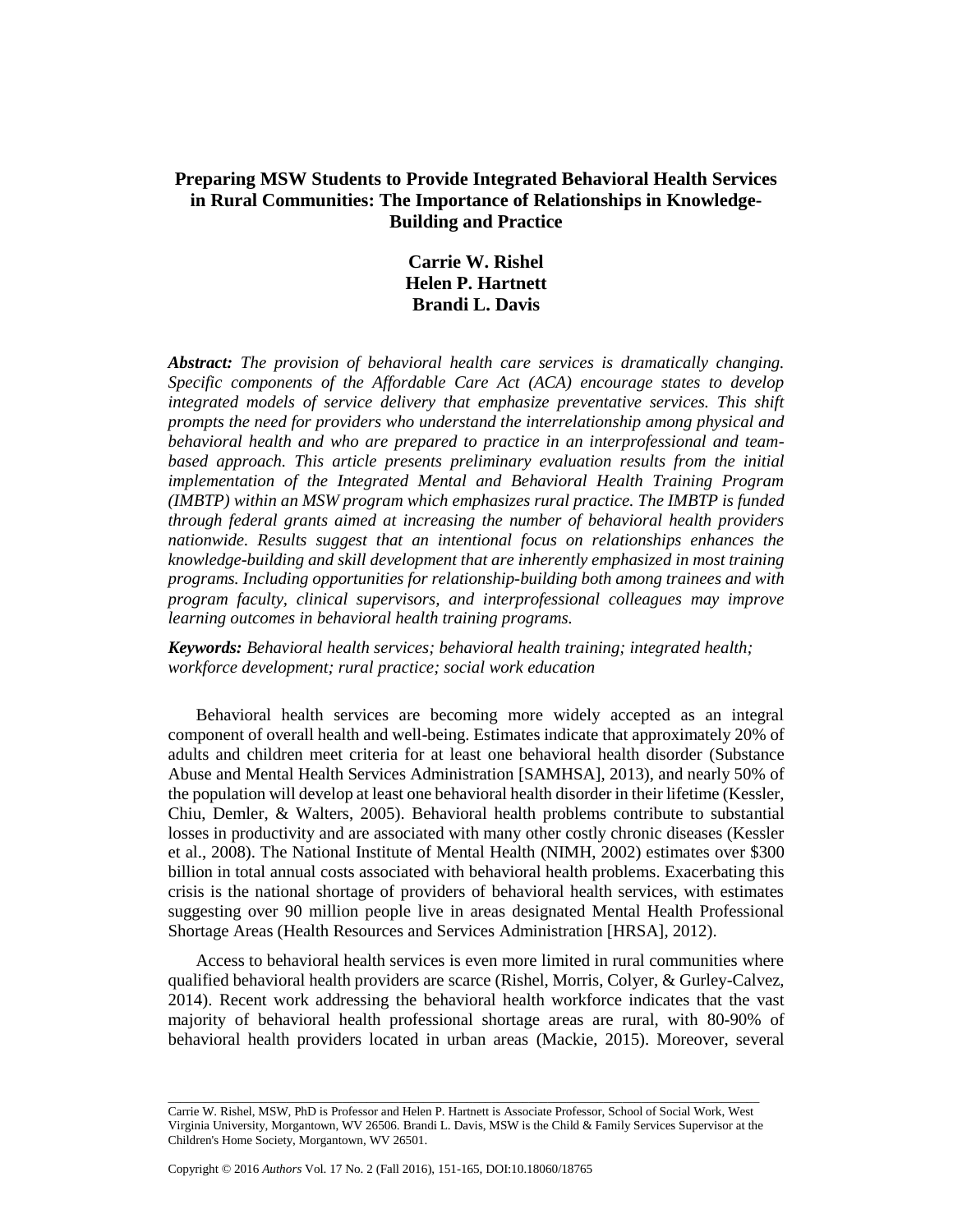## **Preparing MSW Students to Provide Integrated Behavioral Health Services in Rural Communities: The Importance of Relationships in Knowledge-Building and Practice**

# **Carrie W. Rishel Helen P. Hartnett Brandi L. Davis**

*Abstract: The provision of behavioral health care services is dramatically changing. Specific components of the Affordable Care Act (ACA) encourage states to develop integrated models of service delivery that emphasize preventative services. This shift prompts the need for providers who understand the interrelationship among physical and behavioral health and who are prepared to practice in an interprofessional and team*based approach. This article presents preliminary evaluation results from the initial *implementation of the Integrated Mental and Behavioral Health Training Program (IMBTP) within an MSW program which emphasizes rural practice. The IMBTP is funded through federal grants aimed at increasing the number of behavioral health providers nationwide. Results suggest that an intentional focus on relationships enhances the knowledge-building and skill development that are inherently emphasized in most training programs. Including opportunities for relationship-building both among trainees and with program faculty, clinical supervisors, and interprofessional colleagues may improve learning outcomes in behavioral health training programs.*

*Keywords: Behavioral health services; behavioral health training; integrated health; workforce development; rural practice; social work education*

Behavioral health services are becoming more widely accepted as an integral component of overall health and well-being. Estimates indicate that approximately 20% of adults and children meet criteria for at least one behavioral health disorder (Substance Abuse and Mental Health Services Administration [SAMHSA], 2013), and nearly 50% of the population will develop at least one behavioral health disorder in their lifetime (Kessler, Chiu, Demler, & Walters, 2005). Behavioral health problems contribute to substantial losses in productivity and are associated with many other costly chronic diseases (Kessler et al., 2008). The National Institute of Mental Health (NIMH, 2002) estimates over \$300 billion in total annual costs associated with behavioral health problems. Exacerbating this crisis is the national shortage of providers of behavioral health services, with estimates suggesting over 90 million people live in areas designated Mental Health Professional Shortage Areas (Health Resources and Services Administration [HRSA], 2012).

Access to behavioral health services is even more limited in rural communities where qualified behavioral health providers are scarce (Rishel, Morris, Colyer, & Gurley-Calvez, 2014). Recent work addressing the behavioral health workforce indicates that the vast majority of behavioral health professional shortage areas are rural, with 80-90% of behavioral health providers located in urban areas (Mackie, 2015). Moreover, several

\_\_\_\_\_\_\_\_\_\_\_\_\_\_\_\_\_\_\_\_\_\_\_\_\_\_\_\_\_\_\_\_\_\_\_\_\_\_\_\_\_\_\_\_\_\_\_\_\_\_\_\_\_\_\_\_\_\_\_\_\_\_\_\_\_\_\_\_\_\_\_\_\_\_\_\_\_\_\_\_\_\_\_\_\_\_\_\_\_\_\_\_\_\_\_ Carrie W. Rishel, MSW, PhD is Professor and Helen P. Hartnett is Associate Professor, School of Social Work, West Virginia University, Morgantown, WV 26506. Brandi L. Davis, MSW is the Child & Family Services Supervisor at the Children's Home Society, Morgantown, WV 26501.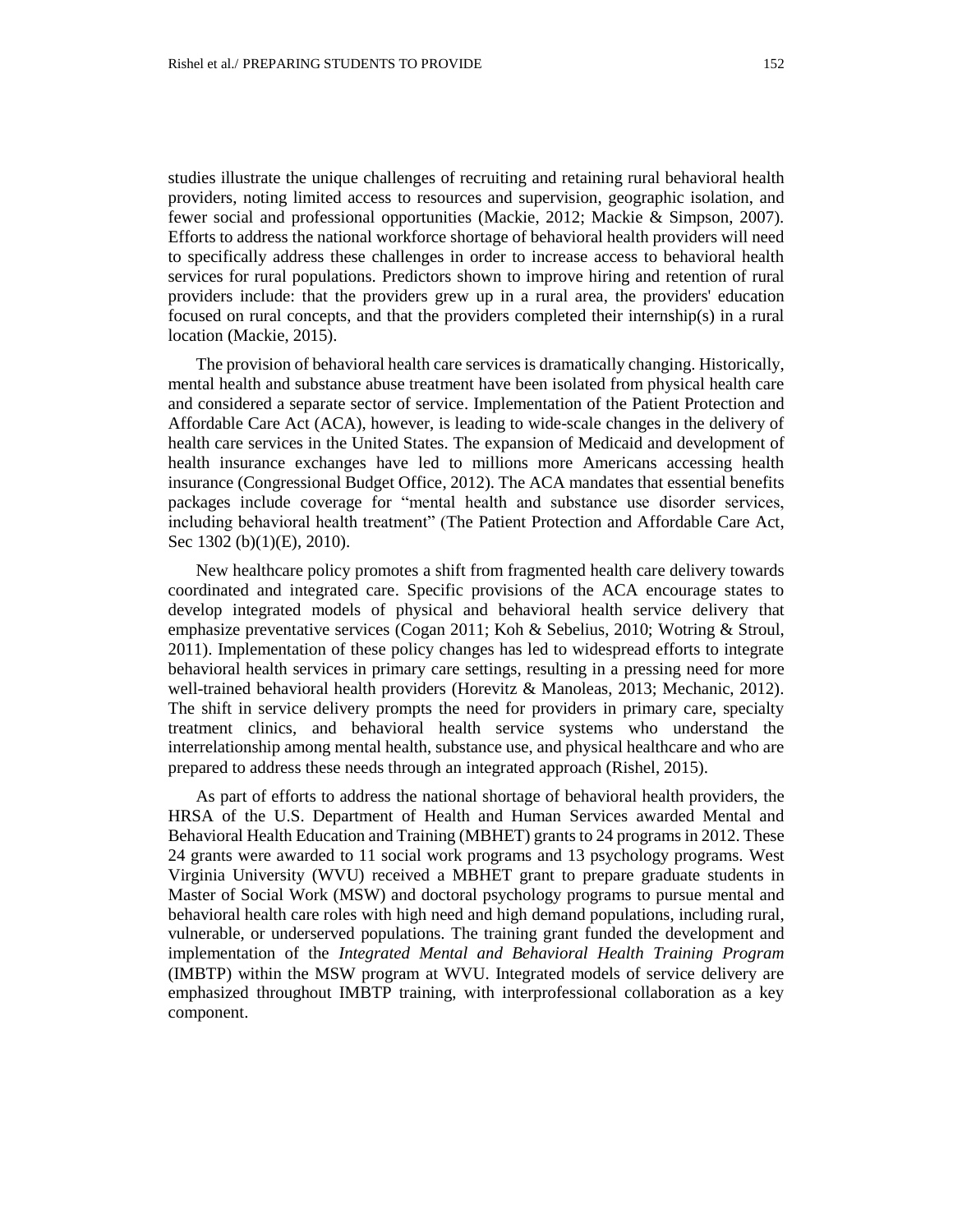studies illustrate the unique challenges of recruiting and retaining rural behavioral health providers, noting limited access to resources and supervision, geographic isolation, and fewer social and professional opportunities (Mackie, 2012; Mackie & Simpson, 2007). Efforts to address the national workforce shortage of behavioral health providers will need to specifically address these challenges in order to increase access to behavioral health services for rural populations. Predictors shown to improve hiring and retention of rural providers include: that the providers grew up in a rural area, the providers' education focused on rural concepts, and that the providers completed their internship(s) in a rural location (Mackie, 2015).

The provision of behavioral health care services is dramatically changing. Historically, mental health and substance abuse treatment have been isolated from physical health care and considered a separate sector of service. Implementation of the Patient Protection and Affordable Care Act (ACA), however, is leading to wide-scale changes in the delivery of health care services in the United States. The expansion of Medicaid and development of health insurance exchanges have led to millions more Americans accessing health insurance (Congressional Budget Office, 2012). The ACA mandates that essential benefits packages include coverage for "mental health and substance use disorder services, including behavioral health treatment" (The Patient Protection and Affordable Care Act, Sec 1302 (b)(1)(E), 2010).

New healthcare policy promotes a shift from fragmented health care delivery towards coordinated and integrated care. Specific provisions of the ACA encourage states to develop integrated models of physical and behavioral health service delivery that emphasize preventative services (Cogan 2011; Koh & Sebelius, 2010; Wotring & Stroul, 2011). Implementation of these policy changes has led to widespread efforts to integrate behavioral health services in primary care settings, resulting in a pressing need for more well-trained behavioral health providers (Horevitz & Manoleas, 2013; Mechanic, 2012). The shift in service delivery prompts the need for providers in primary care, specialty treatment clinics, and behavioral health service systems who understand the interrelationship among mental health, substance use, and physical healthcare and who are prepared to address these needs through an integrated approach (Rishel, 2015).

As part of efforts to address the national shortage of behavioral health providers, the HRSA of the U.S. Department of Health and Human Services awarded Mental and Behavioral Health Education and Training (MBHET) grants to 24 programs in 2012. These 24 grants were awarded to 11 social work programs and 13 psychology programs. West Virginia University (WVU) received a MBHET grant to prepare graduate students in Master of Social Work (MSW) and doctoral psychology programs to pursue mental and behavioral health care roles with high need and high demand populations, including rural, vulnerable, or underserved populations. The training grant funded the development and implementation of the *Integrated Mental and Behavioral Health Training Program*  (IMBTP) within the MSW program at WVU. Integrated models of service delivery are emphasized throughout IMBTP training, with interprofessional collaboration as a key component.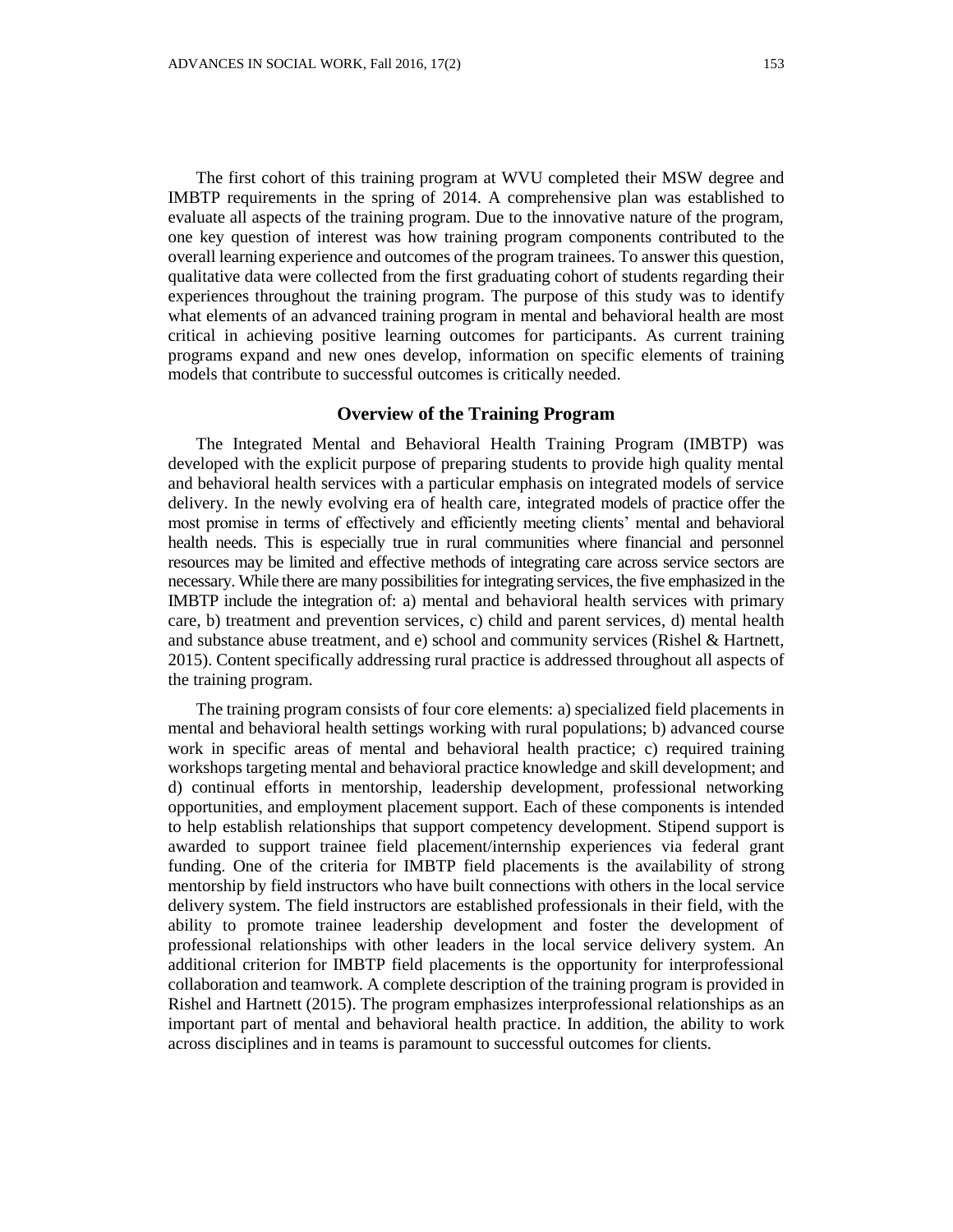The first cohort of this training program at WVU completed their MSW degree and IMBTP requirements in the spring of 2014. A comprehensive plan was established to evaluate all aspects of the training program. Due to the innovative nature of the program, one key question of interest was how training program components contributed to the overall learning experience and outcomes of the program trainees. To answer this question, qualitative data were collected from the first graduating cohort of students regarding their experiences throughout the training program. The purpose of this study was to identify what elements of an advanced training program in mental and behavioral health are most critical in achieving positive learning outcomes for participants. As current training programs expand and new ones develop, information on specific elements of training models that contribute to successful outcomes is critically needed.

## **Overview of the Training Program**

The Integrated Mental and Behavioral Health Training Program (IMBTP) was developed with the explicit purpose of preparing students to provide high quality mental and behavioral health services with a particular emphasis on integrated models of service delivery. In the newly evolving era of health care, integrated models of practice offer the most promise in terms of effectively and efficiently meeting clients' mental and behavioral health needs. This is especially true in rural communities where financial and personnel resources may be limited and effective methods of integrating care across service sectors are necessary. While there are many possibilities for integrating services, the five emphasized in the IMBTP include the integration of: a) mental and behavioral health services with primary care, b) treatment and prevention services, c) child and parent services, d) mental health and substance abuse treatment, and e) school and community services (Rishel & Hartnett, 2015). Content specifically addressing rural practice is addressed throughout all aspects of the training program.

The training program consists of four core elements: a) specialized field placements in mental and behavioral health settings working with rural populations; b) advanced course work in specific areas of mental and behavioral health practice; c) required training workshops targeting mental and behavioral practice knowledge and skill development; and d) continual efforts in mentorship, leadership development, professional networking opportunities, and employment placement support. Each of these components is intended to help establish relationships that support competency development. Stipend support is awarded to support trainee field placement/internship experiences via federal grant funding. One of the criteria for IMBTP field placements is the availability of strong mentorship by field instructors who have built connections with others in the local service delivery system. The field instructors are established professionals in their field, with the ability to promote trainee leadership development and foster the development of professional relationships with other leaders in the local service delivery system. An additional criterion for IMBTP field placements is the opportunity for interprofessional collaboration and teamwork. A complete description of the training program is provided in Rishel and Hartnett (2015). The program emphasizes interprofessional relationships as an important part of mental and behavioral health practice. In addition, the ability to work across disciplines and in teams is paramount to successful outcomes for clients.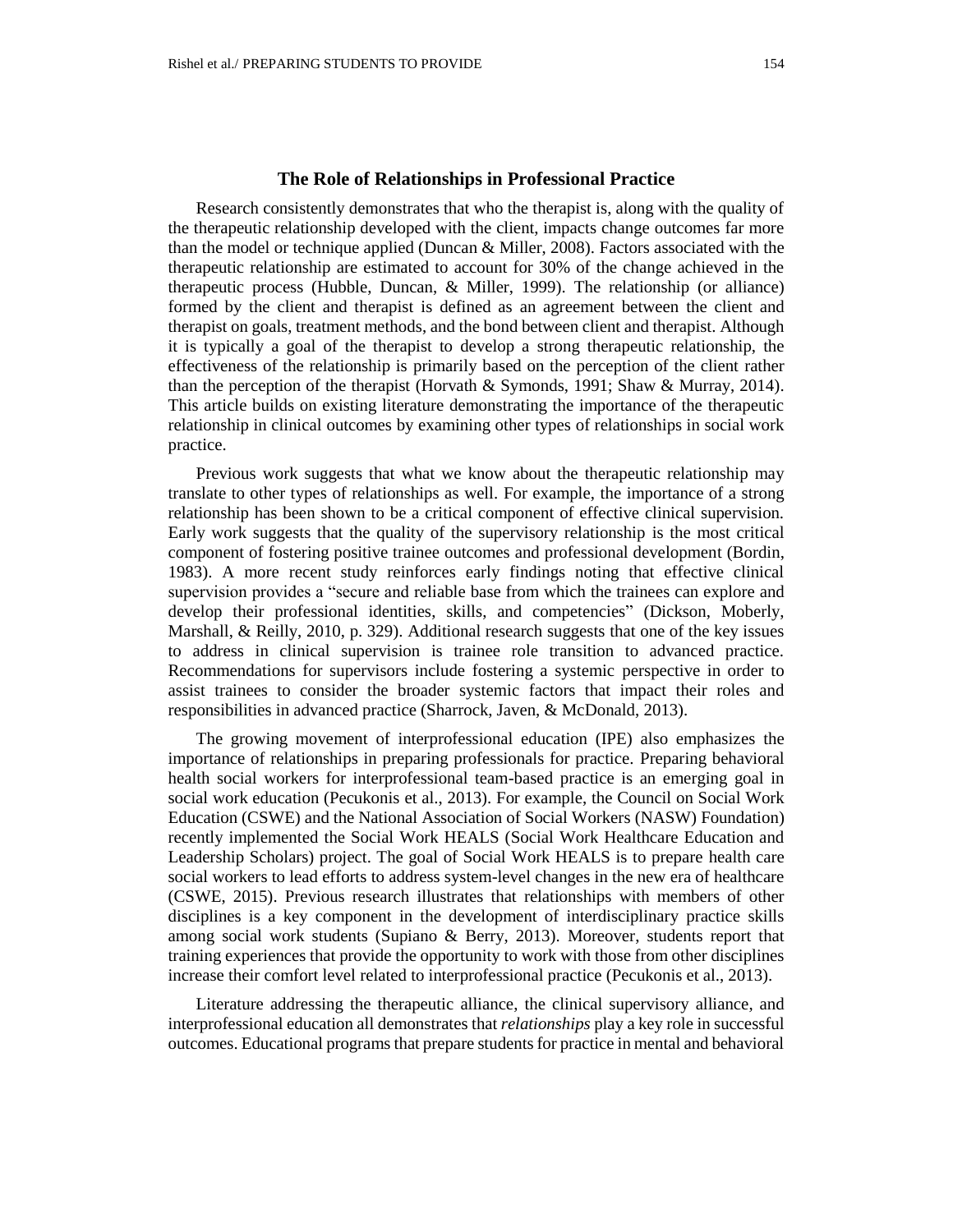Research consistently demonstrates that who the therapist is, along with the quality of the therapeutic relationship developed with the client, impacts change outcomes far more than the model or technique applied (Duncan & Miller, 2008). Factors associated with the therapeutic relationship are estimated to account for 30% of the change achieved in the therapeutic process (Hubble, Duncan, & Miller, 1999). The relationship (or alliance) formed by the client and therapist is defined as an agreement between the client and therapist on goals, treatment methods, and the bond between client and therapist. Although it is typically a goal of the therapist to develop a strong therapeutic relationship, the effectiveness of the relationship is primarily based on the perception of the client rather than the perception of the therapist (Horvath  $\&$  Symonds, 1991; Shaw  $\&$  Murray, 2014). This article builds on existing literature demonstrating the importance of the therapeutic relationship in clinical outcomes by examining other types of relationships in social work practice.

Previous work suggests that what we know about the therapeutic relationship may translate to other types of relationships as well. For example, the importance of a strong relationship has been shown to be a critical component of effective clinical supervision. Early work suggests that the quality of the supervisory relationship is the most critical component of fostering positive trainee outcomes and professional development (Bordin, 1983). A more recent study reinforces early findings noting that effective clinical supervision provides a "secure and reliable base from which the trainees can explore and develop their professional identities, skills, and competencies" (Dickson, Moberly, Marshall, & Reilly, 2010, p. 329). Additional research suggests that one of the key issues to address in clinical supervision is trainee role transition to advanced practice. Recommendations for supervisors include fostering a systemic perspective in order to assist trainees to consider the broader systemic factors that impact their roles and responsibilities in advanced practice (Sharrock, Javen, & McDonald, 2013).

The growing movement of interprofessional education (IPE) also emphasizes the importance of relationships in preparing professionals for practice. Preparing behavioral health social workers for interprofessional team-based practice is an emerging goal in social work education (Pecukonis et al., 2013). For example, the Council on Social Work Education (CSWE) and the National Association of Social Workers (NASW) Foundation) recently implemented the Social Work HEALS (Social Work Healthcare Education and Leadership Scholars) project. The goal of Social Work HEALS is to prepare health care social workers to lead efforts to address system-level changes in the new era of healthcare (CSWE, 2015). Previous research illustrates that relationships with members of other disciplines is a key component in the development of interdisciplinary practice skills among social work students (Supiano & Berry, 2013). Moreover, students report that training experiences that provide the opportunity to work with those from other disciplines increase their comfort level related to interprofessional practice (Pecukonis et al., 2013).

Literature addressing the therapeutic alliance, the clinical supervisory alliance, and interprofessional education all demonstrates that *relationships* play a key role in successful outcomes. Educational programs that prepare students for practice in mental and behavioral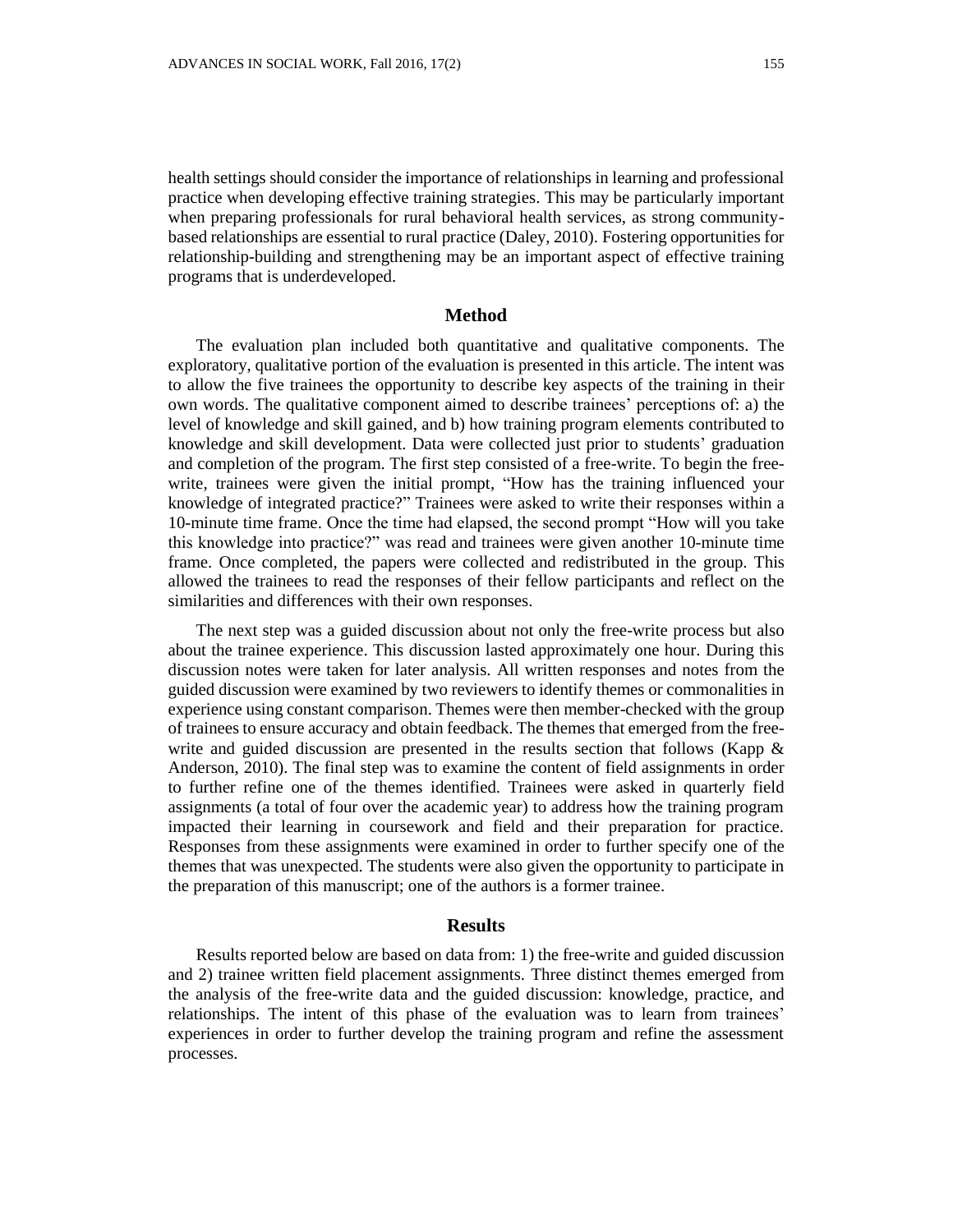health settings should consider the importance of relationships in learning and professional practice when developing effective training strategies. This may be particularly important when preparing professionals for rural behavioral health services, as strong communitybased relationships are essential to rural practice (Daley, 2010). Fostering opportunities for relationship-building and strengthening may be an important aspect of effective training programs that is underdeveloped.

### **Method**

The evaluation plan included both quantitative and qualitative components. The exploratory, qualitative portion of the evaluation is presented in this article. The intent was to allow the five trainees the opportunity to describe key aspects of the training in their own words. The qualitative component aimed to describe trainees' perceptions of: a) the level of knowledge and skill gained, and b) how training program elements contributed to knowledge and skill development. Data were collected just prior to students' graduation and completion of the program. The first step consisted of a free-write. To begin the freewrite, trainees were given the initial prompt, "How has the training influenced your knowledge of integrated practice?" Trainees were asked to write their responses within a 10-minute time frame. Once the time had elapsed, the second prompt "How will you take this knowledge into practice?" was read and trainees were given another 10-minute time frame. Once completed, the papers were collected and redistributed in the group. This allowed the trainees to read the responses of their fellow participants and reflect on the similarities and differences with their own responses.

The next step was a guided discussion about not only the free-write process but also about the trainee experience. This discussion lasted approximately one hour. During this discussion notes were taken for later analysis. All written responses and notes from the guided discussion were examined by two reviewers to identify themes or commonalities in experience using constant comparison. Themes were then member-checked with the group of trainees to ensure accuracy and obtain feedback. The themes that emerged from the freewrite and guided discussion are presented in the results section that follows (Kapp  $\&$ Anderson, 2010). The final step was to examine the content of field assignments in order to further refine one of the themes identified. Trainees were asked in quarterly field assignments (a total of four over the academic year) to address how the training program impacted their learning in coursework and field and their preparation for practice. Responses from these assignments were examined in order to further specify one of the themes that was unexpected. The students were also given the opportunity to participate in the preparation of this manuscript; one of the authors is a former trainee.

### **Results**

Results reported below are based on data from: 1) the free-write and guided discussion and 2) trainee written field placement assignments. Three distinct themes emerged from the analysis of the free-write data and the guided discussion: knowledge, practice, and relationships. The intent of this phase of the evaluation was to learn from trainees' experiences in order to further develop the training program and refine the assessment processes.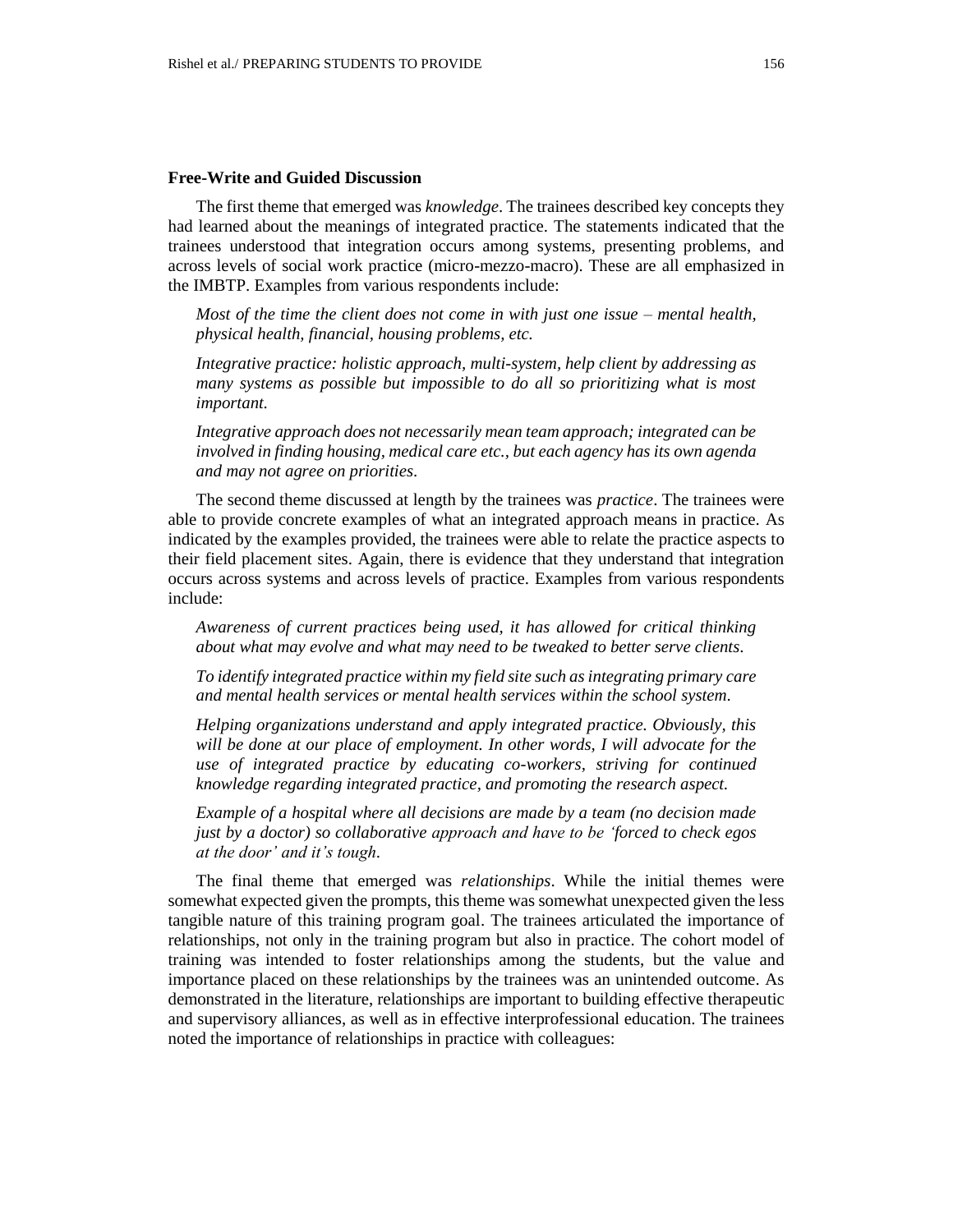### **Free-Write and Guided Discussion**

The first theme that emerged was *knowledge*. The trainees described key concepts they had learned about the meanings of integrated practice. The statements indicated that the trainees understood that integration occurs among systems, presenting problems, and across levels of social work practice (micro-mezzo-macro). These are all emphasized in the IMBTP. Examples from various respondents include:

*Most of the time the client does not come in with just one issue – mental health, physical health, financial, housing problems, etc.*

*Integrative practice: holistic approach, multi-system, help client by addressing as many systems as possible but impossible to do all so prioritizing what is most important.*

*Integrative approach does not necessarily mean team approach; integrated can be involved in finding housing, medical care etc., but each agency has its own agenda and may not agree on priorities.*

The second theme discussed at length by the trainees was *practice*. The trainees were able to provide concrete examples of what an integrated approach means in practice. As indicated by the examples provided, the trainees were able to relate the practice aspects to their field placement sites. Again, there is evidence that they understand that integration occurs across systems and across levels of practice. Examples from various respondents include:

*Awareness of current practices being used, it has allowed for critical thinking about what may evolve and what may need to be tweaked to better serve clients.*

*To identify integrated practice within my field site such as integrating primary care and mental health services or mental health services within the school system.*

*Helping organizations understand and apply integrated practice. Obviously, this*  will be done at our place of employment. In other words, I will advocate for the *use of integrated practice by educating co-workers, striving for continued knowledge regarding integrated practice, and promoting the research aspect.*

*Example of a hospital where all decisions are made by a team (no decision made just by a doctor) so collaborative approach and have to be 'forced to check egos at the door' and it's tough.*

The final theme that emerged was *relationships*. While the initial themes were somewhat expected given the prompts, this theme was somewhat unexpected given the less tangible nature of this training program goal. The trainees articulated the importance of relationships, not only in the training program but also in practice. The cohort model of training was intended to foster relationships among the students, but the value and importance placed on these relationships by the trainees was an unintended outcome. As demonstrated in the literature, relationships are important to building effective therapeutic and supervisory alliances, as well as in effective interprofessional education. The trainees noted the importance of relationships in practice with colleagues: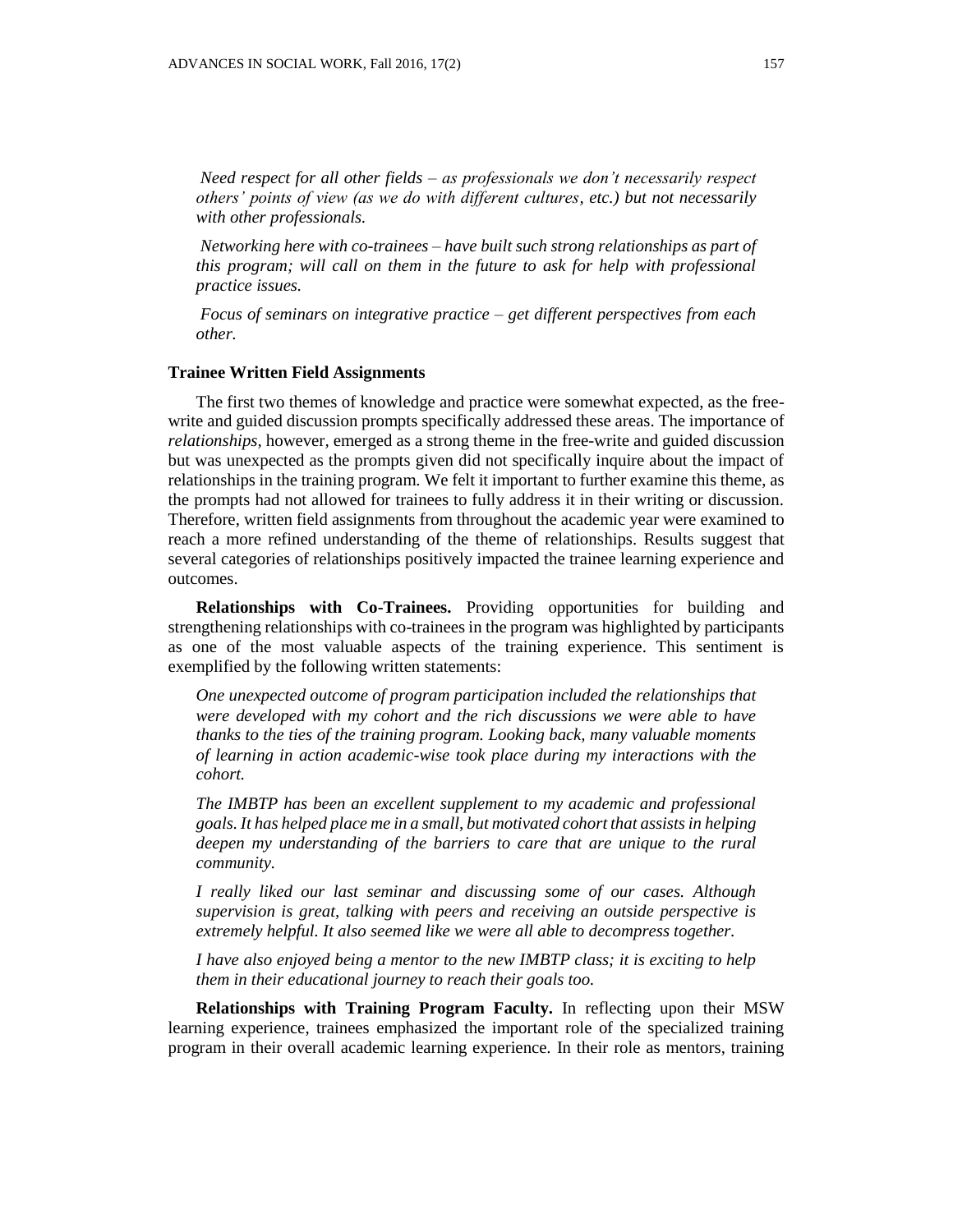*Need respect for all other fields – as professionals we don't necessarily respect others' points of view (as we do with different cultures, etc.) but not necessarily with other professionals.*

*Networking here with co-trainees – have built such strong relationships as part of this program; will call on them in the future to ask for help with professional practice issues.*

*Focus of seminars on integrative practice – get different perspectives from each other.*

#### **Trainee Written Field Assignments**

The first two themes of knowledge and practice were somewhat expected, as the freewrite and guided discussion prompts specifically addressed these areas. The importance of *relationships,* however*,* emerged as a strong theme in the free-write and guided discussion but was unexpected as the prompts given did not specifically inquire about the impact of relationships in the training program. We felt it important to further examine this theme, as the prompts had not allowed for trainees to fully address it in their writing or discussion. Therefore, written field assignments from throughout the academic year were examined to reach a more refined understanding of the theme of relationships. Results suggest that several categories of relationships positively impacted the trainee learning experience and outcomes.

**Relationships with Co-Trainees.** Providing opportunities for building and strengthening relationships with co-trainees in the program was highlighted by participants as one of the most valuable aspects of the training experience. This sentiment is exemplified by the following written statements:

*One unexpected outcome of program participation included the relationships that were developed with my cohort and the rich discussions we were able to have thanks to the ties of the training program. Looking back, many valuable moments of learning in action academic-wise took place during my interactions with the cohort.*

*The IMBTP has been an excellent supplement to my academic and professional goals. It has helped place me in a small, but motivated cohort that assists in helping deepen my understanding of the barriers to care that are unique to the rural community.*

*I really liked our last seminar and discussing some of our cases. Although supervision is great, talking with peers and receiving an outside perspective is extremely helpful. It also seemed like we were all able to decompress together.*

*I have also enjoyed being a mentor to the new IMBTP class; it is exciting to help them in their educational journey to reach their goals too.*

**Relationships with Training Program Faculty.** In reflecting upon their MSW learning experience, trainees emphasized the important role of the specialized training program in their overall academic learning experience. In their role as mentors, training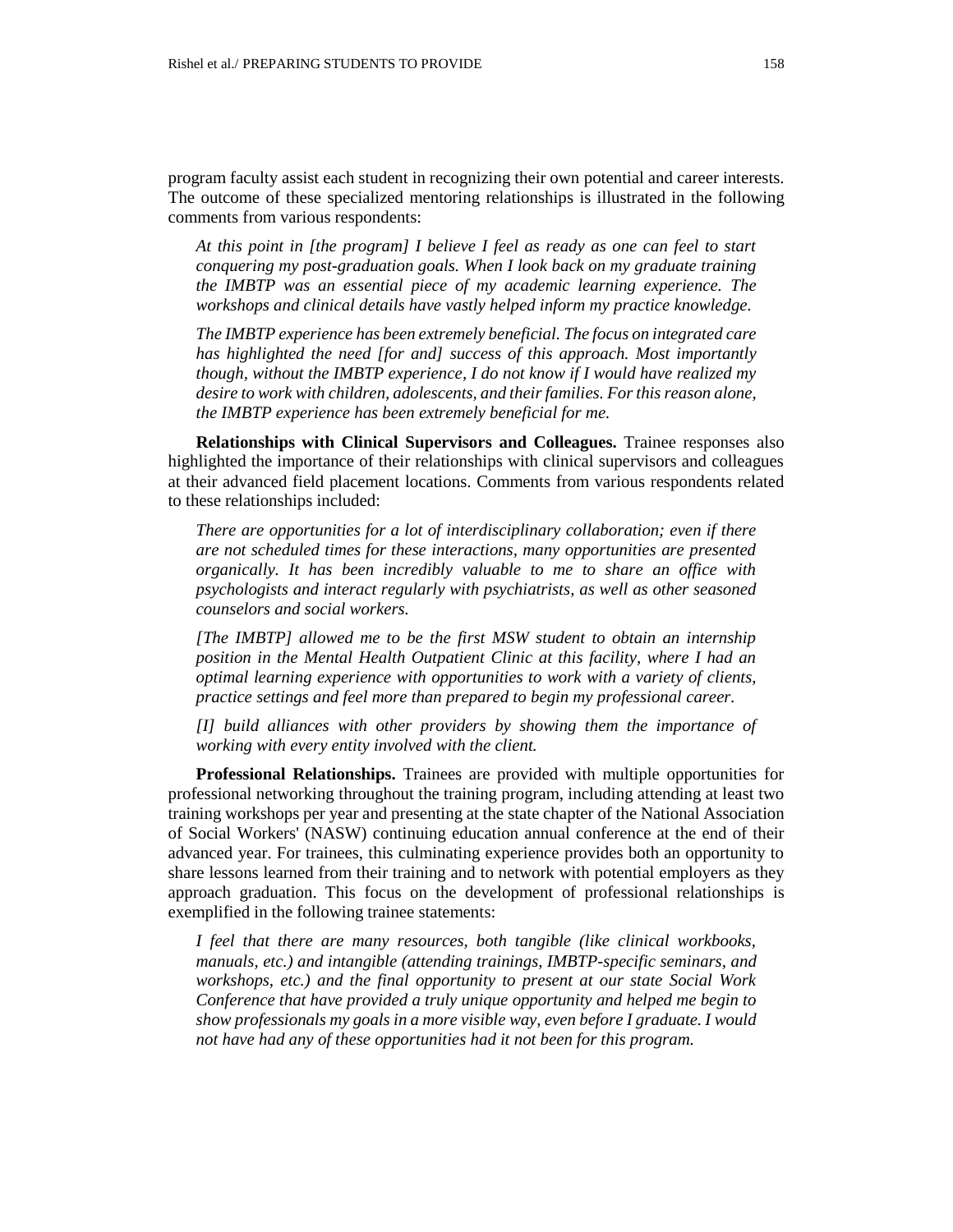program faculty assist each student in recognizing their own potential and career interests. The outcome of these specialized mentoring relationships is illustrated in the following comments from various respondents:

*At this point in [the program] I believe I feel as ready as one can feel to start conquering my post-graduation goals. When I look back on my graduate training the IMBTP was an essential piece of my academic learning experience. The workshops and clinical details have vastly helped inform my practice knowledge.*

*The IMBTP experience has been extremely beneficial. The focus on integrated care has highlighted the need [for and] success of this approach. Most importantly though, without the IMBTP experience, I do not know if I would have realized my desire to work with children, adolescents, and their families. For this reason alone, the IMBTP experience has been extremely beneficial for me.*

**Relationships with Clinical Supervisors and Colleagues.** Trainee responses also highlighted the importance of their relationships with clinical supervisors and colleagues at their advanced field placement locations. Comments from various respondents related to these relationships included:

*There are opportunities for a lot of interdisciplinary collaboration; even if there are not scheduled times for these interactions, many opportunities are presented organically. It has been incredibly valuable to me to share an office with psychologists and interact regularly with psychiatrists, as well as other seasoned counselors and social workers.*

*[The IMBTP] allowed me to be the first MSW student to obtain an internship position in the Mental Health Outpatient Clinic at this facility, where I had an optimal learning experience with opportunities to work with a variety of clients, practice settings and feel more than prepared to begin my professional career.* 

*[I] build alliances with other providers by showing them the importance of working with every entity involved with the client.*

**Professional Relationships.** Trainees are provided with multiple opportunities for professional networking throughout the training program, including attending at least two training workshops per year and presenting at the state chapter of the National Association of Social Workers' (NASW) continuing education annual conference at the end of their advanced year. For trainees, this culminating experience provides both an opportunity to share lessons learned from their training and to network with potential employers as they approach graduation. This focus on the development of professional relationships is exemplified in the following trainee statements:

*I feel that there are many resources, both tangible (like clinical workbooks, manuals, etc.) and intangible (attending trainings, IMBTP-specific seminars, and workshops, etc.) and the final opportunity to present at our state Social Work Conference that have provided a truly unique opportunity and helped me begin to show professionals my goals in a more visible way, even before I graduate. I would not have had any of these opportunities had it not been for this program.*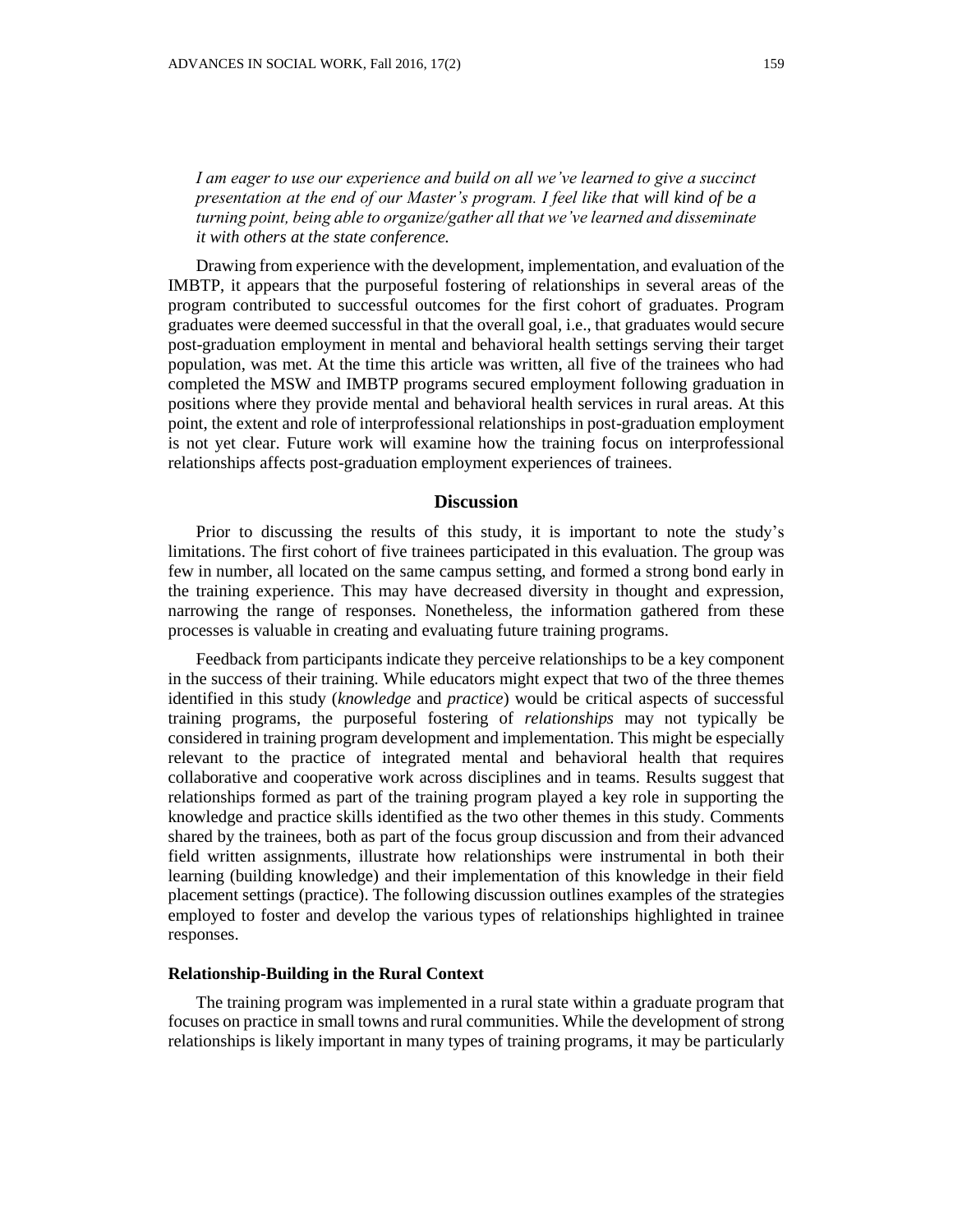Drawing from experience with the development, implementation, and evaluation of the IMBTP, it appears that the purposeful fostering of relationships in several areas of the program contributed to successful outcomes for the first cohort of graduates. Program graduates were deemed successful in that the overall goal, i.e., that graduates would secure post-graduation employment in mental and behavioral health settings serving their target population, was met. At the time this article was written, all five of the trainees who had completed the MSW and IMBTP programs secured employment following graduation in positions where they provide mental and behavioral health services in rural areas. At this point, the extent and role of interprofessional relationships in post-graduation employment is not yet clear. Future work will examine how the training focus on interprofessional relationships affects post-graduation employment experiences of trainees.

#### **Discussion**

Prior to discussing the results of this study, it is important to note the study's limitations. The first cohort of five trainees participated in this evaluation. The group was few in number, all located on the same campus setting, and formed a strong bond early in the training experience. This may have decreased diversity in thought and expression, narrowing the range of responses. Nonetheless, the information gathered from these processes is valuable in creating and evaluating future training programs.

Feedback from participants indicate they perceive relationships to be a key component in the success of their training. While educators might expect that two of the three themes identified in this study (*knowledge* and *practice*) would be critical aspects of successful training programs, the purposeful fostering of *relationships* may not typically be considered in training program development and implementation. This might be especially relevant to the practice of integrated mental and behavioral health that requires collaborative and cooperative work across disciplines and in teams. Results suggest that relationships formed as part of the training program played a key role in supporting the knowledge and practice skills identified as the two other themes in this study. Comments shared by the trainees, both as part of the focus group discussion and from their advanced field written assignments, illustrate how relationships were instrumental in both their learning (building knowledge) and their implementation of this knowledge in their field placement settings (practice). The following discussion outlines examples of the strategies employed to foster and develop the various types of relationships highlighted in trainee responses.

#### **Relationship-Building in the Rural Context**

The training program was implemented in a rural state within a graduate program that focuses on practice in small towns and rural communities. While the development of strong relationships is likely important in many types of training programs, it may be particularly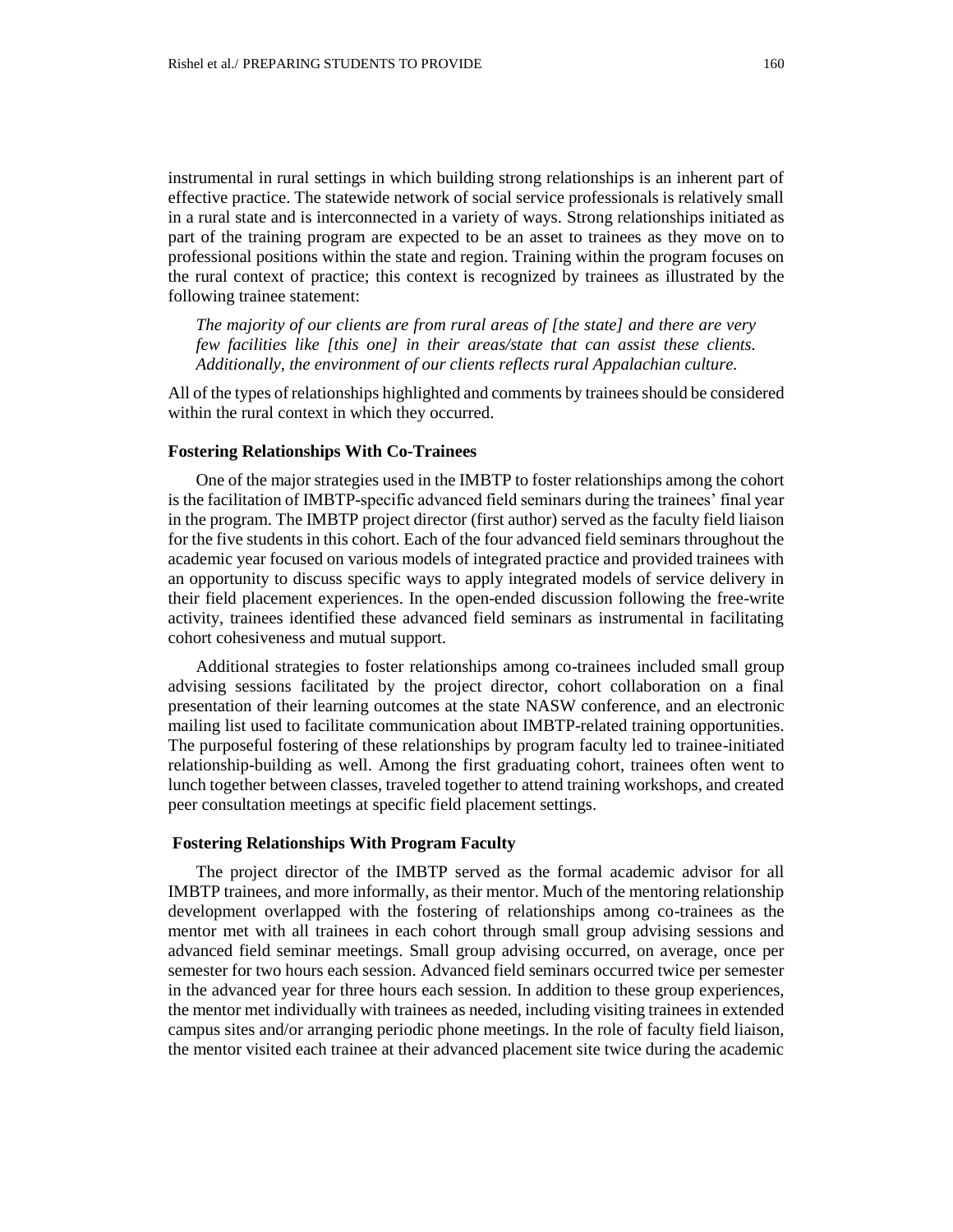instrumental in rural settings in which building strong relationships is an inherent part of effective practice. The statewide network of social service professionals is relatively small in a rural state and is interconnected in a variety of ways. Strong relationships initiated as part of the training program are expected to be an asset to trainees as they move on to professional positions within the state and region. Training within the program focuses on the rural context of practice; this context is recognized by trainees as illustrated by the following trainee statement:

*The majority of our clients are from rural areas of [the state] and there are very few facilities like [this one] in their areas/state that can assist these clients. Additionally, the environment of our clients reflects rural Appalachian culture.*

All of the types of relationships highlighted and comments by trainees should be considered within the rural context in which they occurred.

#### **Fostering Relationships With Co-Trainees**

One of the major strategies used in the IMBTP to foster relationships among the cohort is the facilitation of IMBTP-specific advanced field seminars during the trainees' final year in the program. The IMBTP project director (first author) served as the faculty field liaison for the five students in this cohort. Each of the four advanced field seminars throughout the academic year focused on various models of integrated practice and provided trainees with an opportunity to discuss specific ways to apply integrated models of service delivery in their field placement experiences. In the open-ended discussion following the free-write activity, trainees identified these advanced field seminars as instrumental in facilitating cohort cohesiveness and mutual support.

Additional strategies to foster relationships among co-trainees included small group advising sessions facilitated by the project director, cohort collaboration on a final presentation of their learning outcomes at the state NASW conference, and an electronic mailing list used to facilitate communication about IMBTP-related training opportunities. The purposeful fostering of these relationships by program faculty led to trainee-initiated relationship-building as well. Among the first graduating cohort, trainees often went to lunch together between classes, traveled together to attend training workshops, and created peer consultation meetings at specific field placement settings.

#### **Fostering Relationships With Program Faculty**

The project director of the IMBTP served as the formal academic advisor for all IMBTP trainees, and more informally, as their mentor. Much of the mentoring relationship development overlapped with the fostering of relationships among co-trainees as the mentor met with all trainees in each cohort through small group advising sessions and advanced field seminar meetings. Small group advising occurred, on average, once per semester for two hours each session. Advanced field seminars occurred twice per semester in the advanced year for three hours each session. In addition to these group experiences, the mentor met individually with trainees as needed, including visiting trainees in extended campus sites and/or arranging periodic phone meetings. In the role of faculty field liaison, the mentor visited each trainee at their advanced placement site twice during the academic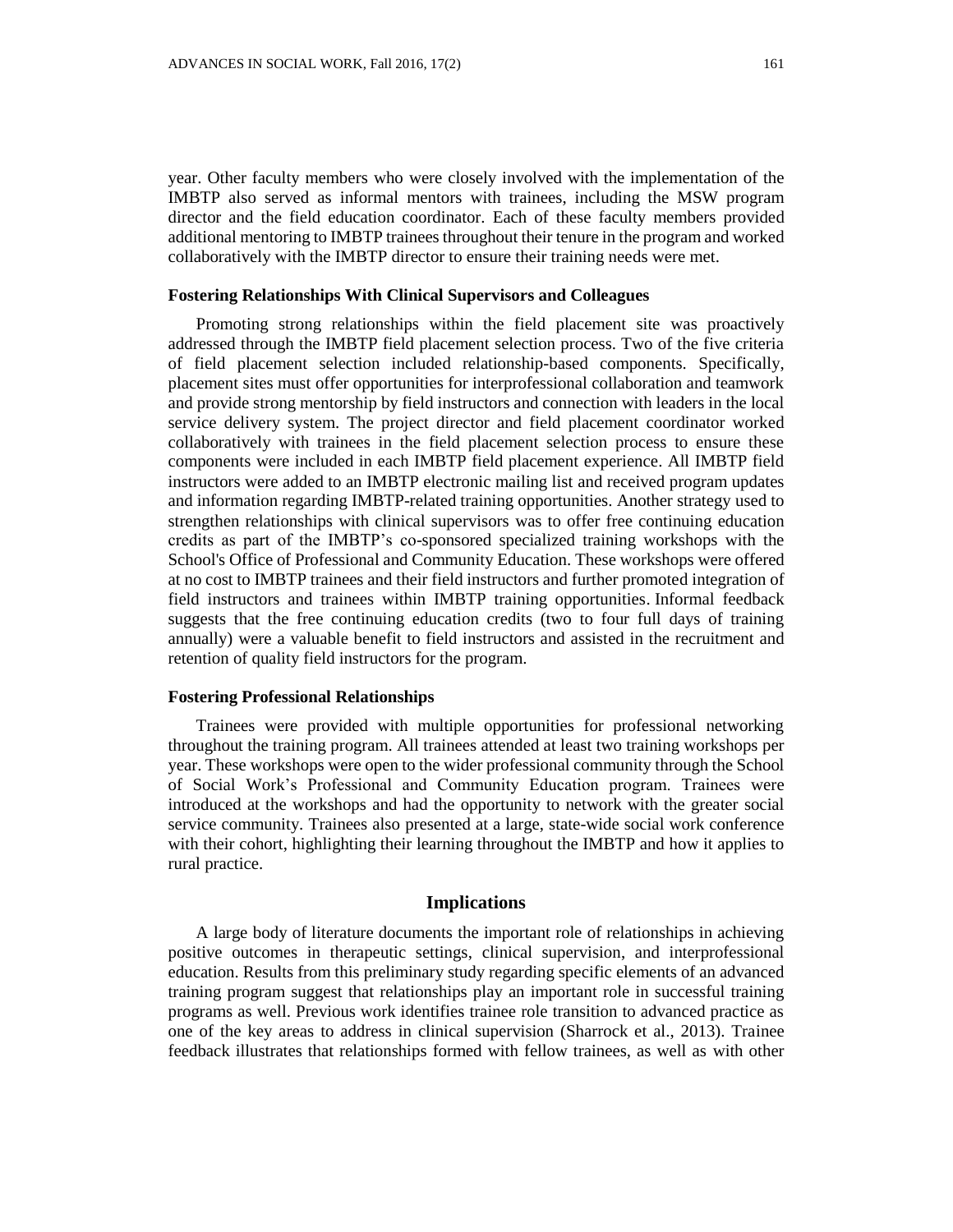year. Other faculty members who were closely involved with the implementation of the IMBTP also served as informal mentors with trainees, including the MSW program director and the field education coordinator. Each of these faculty members provided additional mentoring to IMBTP trainees throughout their tenure in the program and worked collaboratively with the IMBTP director to ensure their training needs were met.

#### **Fostering Relationships With Clinical Supervisors and Colleagues**

Promoting strong relationships within the field placement site was proactively addressed through the IMBTP field placement selection process. Two of the five criteria of field placement selection included relationship-based components. Specifically, placement sites must offer opportunities for interprofessional collaboration and teamwork and provide strong mentorship by field instructors and connection with leaders in the local service delivery system. The project director and field placement coordinator worked collaboratively with trainees in the field placement selection process to ensure these components were included in each IMBTP field placement experience. All IMBTP field instructors were added to an IMBTP electronic mailing list and received program updates and information regarding IMBTP-related training opportunities. Another strategy used to strengthen relationships with clinical supervisors was to offer free continuing education credits as part of the IMBTP's co-sponsored specialized training workshops with the School's Office of Professional and Community Education. These workshops were offered at no cost to IMBTP trainees and their field instructors and further promoted integration of field instructors and trainees within IMBTP training opportunities. Informal feedback suggests that the free continuing education credits (two to four full days of training annually) were a valuable benefit to field instructors and assisted in the recruitment and retention of quality field instructors for the program.

#### **Fostering Professional Relationships**

Trainees were provided with multiple opportunities for professional networking throughout the training program. All trainees attended at least two training workshops per year. These workshops were open to the wider professional community through the School of Social Work's Professional and Community Education program. Trainees were introduced at the workshops and had the opportunity to network with the greater social service community. Trainees also presented at a large, state-wide social work conference with their cohort, highlighting their learning throughout the IMBTP and how it applies to rural practice.

#### **Implications**

A large body of literature documents the important role of relationships in achieving positive outcomes in therapeutic settings, clinical supervision, and interprofessional education. Results from this preliminary study regarding specific elements of an advanced training program suggest that relationships play an important role in successful training programs as well. Previous work identifies trainee role transition to advanced practice as one of the key areas to address in clinical supervision (Sharrock et al., 2013). Trainee feedback illustrates that relationships formed with fellow trainees, as well as with other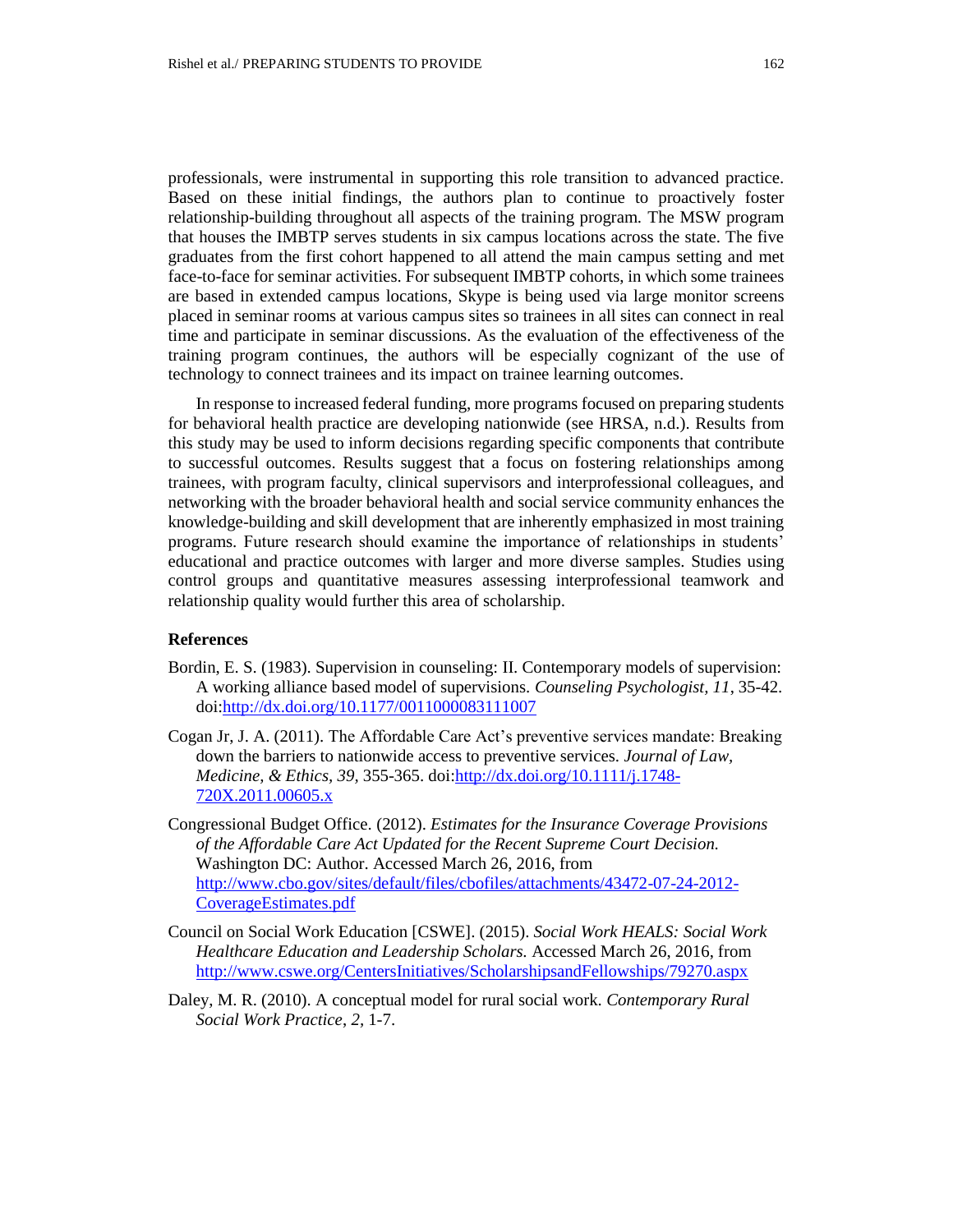professionals, were instrumental in supporting this role transition to advanced practice. Based on these initial findings, the authors plan to continue to proactively foster relationship-building throughout all aspects of the training program. The MSW program that houses the IMBTP serves students in six campus locations across the state. The five graduates from the first cohort happened to all attend the main campus setting and met face-to-face for seminar activities. For subsequent IMBTP cohorts, in which some trainees are based in extended campus locations, Skype is being used via large monitor screens placed in seminar rooms at various campus sites so trainees in all sites can connect in real time and participate in seminar discussions. As the evaluation of the effectiveness of the training program continues, the authors will be especially cognizant of the use of technology to connect trainees and its impact on trainee learning outcomes.

In response to increased federal funding, more programs focused on preparing students for behavioral health practice are developing nationwide (see HRSA, n.d.). Results from this study may be used to inform decisions regarding specific components that contribute to successful outcomes. Results suggest that a focus on fostering relationships among trainees, with program faculty, clinical supervisors and interprofessional colleagues, and networking with the broader behavioral health and social service community enhances the knowledge-building and skill development that are inherently emphasized in most training programs. Future research should examine the importance of relationships in students' educational and practice outcomes with larger and more diverse samples. Studies using control groups and quantitative measures assessing interprofessional teamwork and relationship quality would further this area of scholarship.

### **References**

- Bordin, E. S. (1983). Supervision in counseling: II. Contemporary models of supervision: A working alliance based model of supervisions. *Counseling Psychologist, 11*, 35-42. doi[:http://dx.doi.org/10.1177/0011000083111007](http://dx.doi.org/10.1177/0011000083111007)
- Cogan Jr, J. A. (2011). The Affordable Care Act's preventive services mandate: Breaking down the barriers to nationwide access to preventive services. *Journal of Law, Medicine, & Ethics, 39,* 355-365. doi[:http://dx.doi.org/10.1111/j.1748-](http://dx.doi.org/10.1111/j.1748-720X.2011.00605.x) [720X.2011.00605.x](http://dx.doi.org/10.1111/j.1748-720X.2011.00605.x)
- Congressional Budget Office. (2012). *Estimates for the Insurance Coverage Provisions of the Affordable Care Act Updated for the Recent Supreme Court Decision.* Washington DC: Author. Accessed March 26, 2016, from [http://www.cbo.gov/sites/default/files/cbofiles/attachments/43472-07-24-2012-](http://www.cbo.gov/sites/default/files/cbofiles/attachments/43472-07-24-2012-CoverageEstimates.pdf) [CoverageEstimates.pdf](http://www.cbo.gov/sites/default/files/cbofiles/attachments/43472-07-24-2012-CoverageEstimates.pdf)
- Council on Social Work Education [CSWE]. (2015). *Social Work HEALS: Social Work Healthcare Education and Leadership Scholars.* Accessed March 26, 2016, from <http://www.cswe.org/CentersInitiatives/ScholarshipsandFellowships/79270.aspx>
- Daley, M. R. (2010). A conceptual model for rural social work. *Contemporary Rural Social Work Practice*, *2,* 1-7.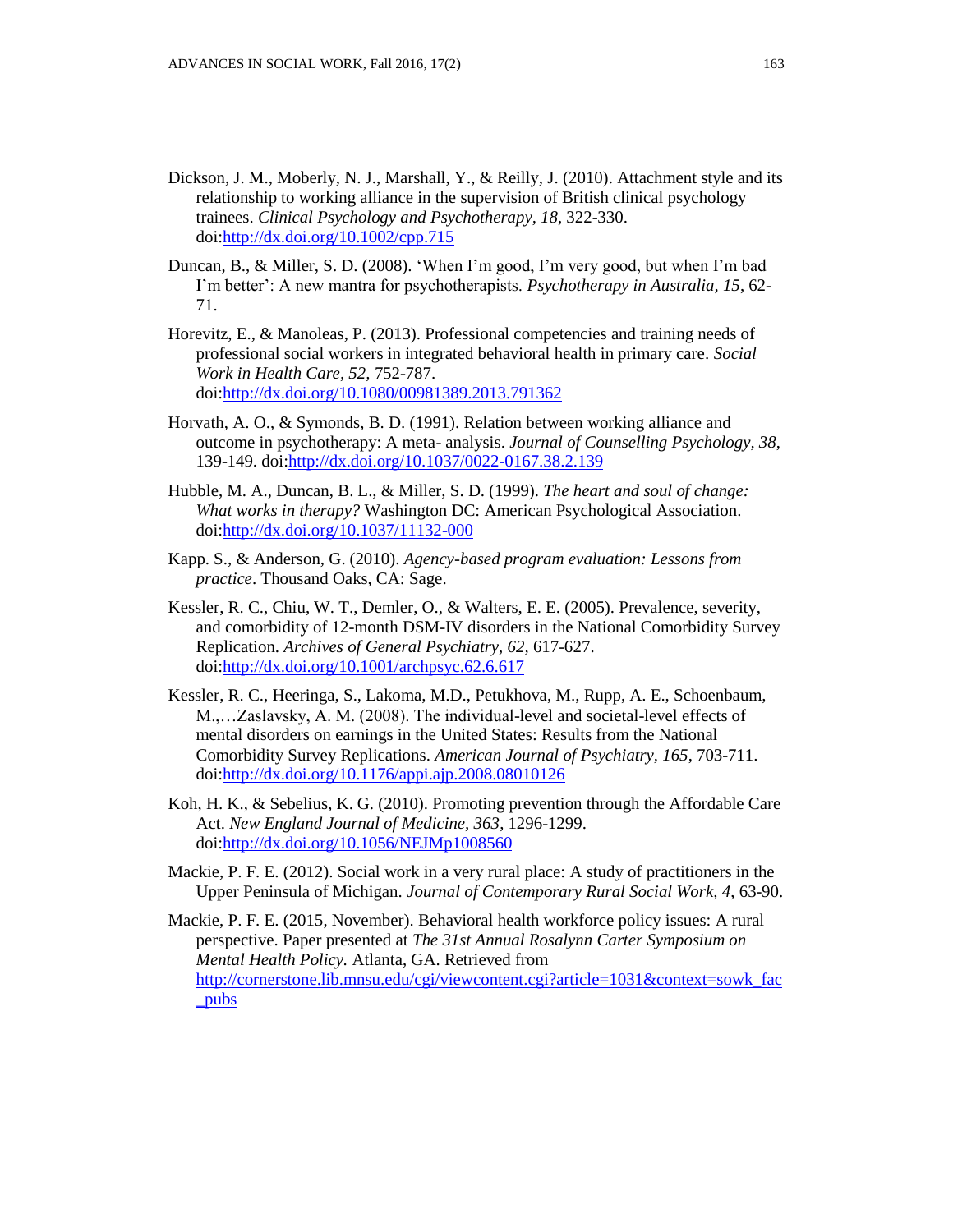- Dickson, J. M., Moberly, N. J., Marshall, Y., & Reilly, J. (2010). Attachment style and its relationship to working alliance in the supervision of British clinical psychology trainees. *Clinical Psychology and Psychotherapy, 18,* 322-330. doi[:http://dx.doi.org/10.1002/cpp.715](http://dx.doi.org/10.1002/cpp.715)
- Duncan, B., & Miller, S. D. (2008). 'When I'm good, I'm very good, but when I'm bad I'm better': A new mantra for psychotherapists. *Psychotherapy in Australia, 15*, 62- 71.
- Horevitz, E., & Manoleas, P. (2013). Professional competencies and training needs of professional social workers in integrated behavioral health in primary care. *Social Work in Health Care, 52,* 752-787. doi[:http://dx.doi.org/10.1080/00981389.2013.791362](http://dx.doi.org/10.1080/00981389.2013.791362)
- Horvath, A. O., & Symonds, B. D. (1991). Relation between working alliance and outcome in psychotherapy: A meta- analysis. *Journal of Counselling Psychology, 38*, 139-149. doi[:http://dx.doi.org/10.1037/0022-0167.38.2.139](http://dx.doi.org/10.1037/0022-0167.38.2.139)
- Hubble, M. A., Duncan, B. L., & Miller, S. D. (1999). *The heart and soul of change: What works in therapy?* Washington DC: American Psychological Association. doi[:http://dx.doi.org/10.1037/11132-000](http://dx.doi.org/10.1037/11132-000)
- Kapp. S., & Anderson, G. (2010). *Agency-based program evaluation: Lessons from practice*. Thousand Oaks, CA: Sage.
- Kessler, R. C., Chiu, W. T., Demler, O., & Walters, E. E. (2005). Prevalence, severity, and comorbidity of 12-month DSM-IV disorders in the National Comorbidity Survey Replication. *Archives of General Psychiatry, 62,* 617-627. doi[:http://dx.doi.org/10.1001/archpsyc.62.6.617](http://dx.doi.org/10.1001/archpsyc.62.6.617)
- Kessler, R. C., Heeringa, S., Lakoma, M.D., Petukhova, M., Rupp, A. E., Schoenbaum, M.,…Zaslavsky, A. M. (2008). The individual-level and societal-level effects of mental disorders on earnings in the United States: Results from the National Comorbidity Survey Replications. *American Journal of Psychiatry, 165*, 703-711. doi[:http://dx.doi.org/10.1176/appi.ajp.2008.08010126](http://dx.doi.org/10.1176/appi.ajp.2008.08010126)
- Koh, H. K., & Sebelius, K. G. (2010). Promoting prevention through the Affordable Care Act. *New England Journal of Medicine, 363*, 1296-1299. doi[:http://dx.doi.org/10.1056/NEJMp1008560](http://dx.doi.org/10.1056/NEJMp1008560)
- Mackie, P. F. E. (2012). Social work in a very rural place: A study of practitioners in the Upper Peninsula of Michigan. *Journal of Contemporary Rural Social Work, 4*, 63-90.
- Mackie, P. F. E. (2015, November). Behavioral health workforce policy issues: A rural perspective. Paper presented at *The 31st Annual Rosalynn Carter Symposium on Mental Health Policy.* Atlanta, GA. Retrieved from [http://cornerstone.lib.mnsu.edu/cgi/viewcontent.cgi?article=1031&context=sowk\\_fac](http://cornerstone.lib.mnsu.edu/cgi/viewcontent.cgi?article=1031&context=sowk_fac_pubs) [\\_pubs](http://cornerstone.lib.mnsu.edu/cgi/viewcontent.cgi?article=1031&context=sowk_fac_pubs)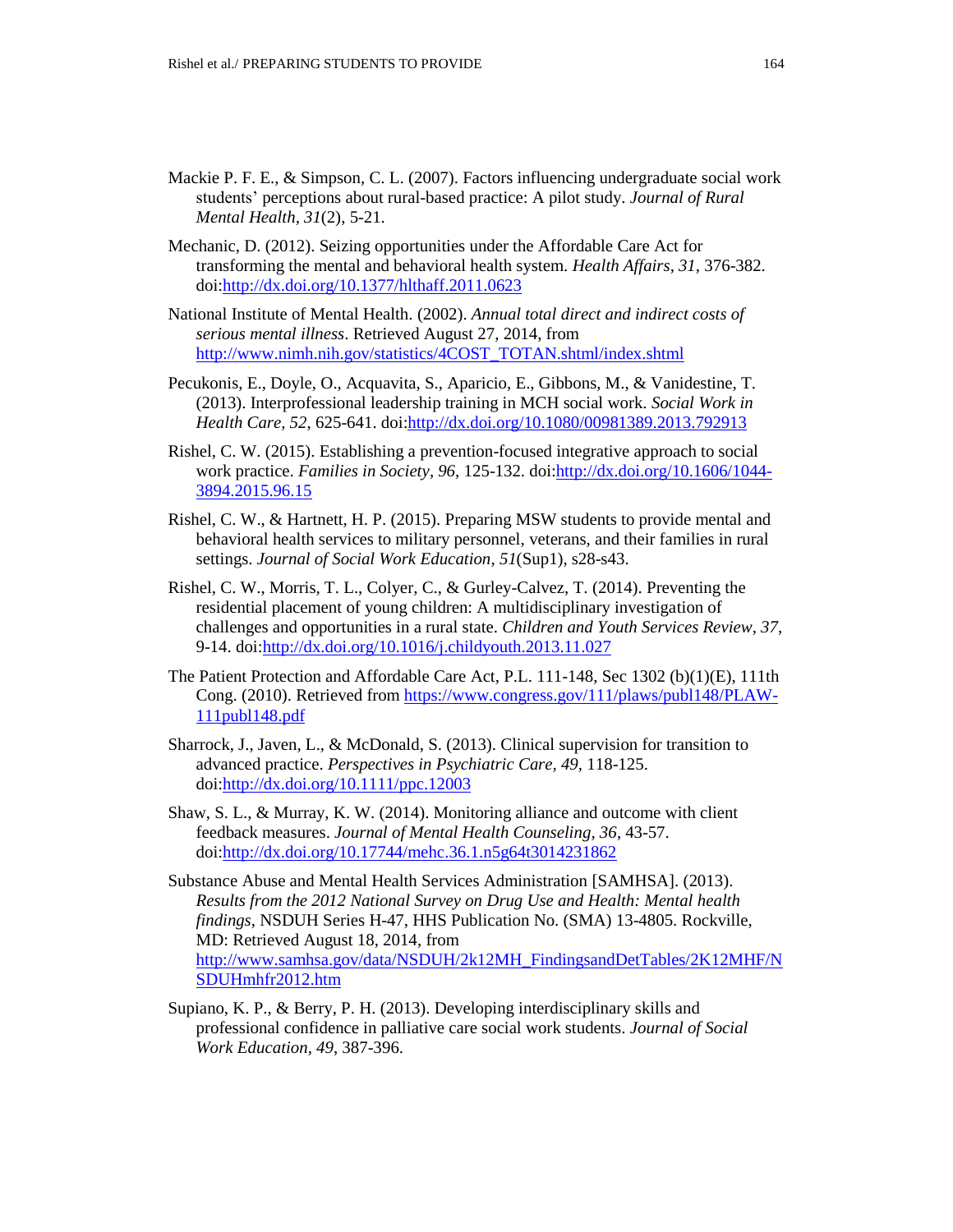- Mackie P. F. E., & Simpson, C. L. (2007). Factors influencing undergraduate social work students' perceptions about rural-based practice: A pilot study. *Journal of Rural Mental Health, 31*(2), 5-21.
- Mechanic, D. (2012). Seizing opportunities under the Affordable Care Act for transforming the mental and behavioral health system. *Health Affairs, 31,* 376-382. doi[:http://dx.doi.org/10.1377/hlthaff.2011.0623](http://dx.doi.org/10.1377/hlthaff.2011.0623)
- National Institute of Mental Health. (2002). *Annual total direct and indirect costs of serious mental illness*. Retrieved August 27, 2014, from [http://www.nimh.nih.gov/statistics/4COST\\_TOTAN.shtml/index.shtml](http://www.nimh.nih.gov/statistics/4COST_TOTAN.shtml/index.shtml)
- Pecukonis, E., Doyle, O., Acquavita, S., Aparicio, E., Gibbons, M., & Vanidestine, T. (2013). Interprofessional leadership training in MCH social work. *Social Work in Health Care, 52*, 625-641. doi[:http://dx.doi.org/10.1080/00981389.2013.792913](http://dx.doi.org/10.1080/00981389.2013.792913)
- Rishel, C. W. (2015). Establishing a prevention-focused integrative approach to social work practice. *Families in Society*, *96*, 125-132. doi[:http://dx.doi.org/10.1606/1044-](http://dx.doi.org/10.1606/1044-3894.2015.96.15) [3894.2015.96.15](http://dx.doi.org/10.1606/1044-3894.2015.96.15)
- Rishel, C. W., & Hartnett, H. P. (2015). Preparing MSW students to provide mental and behavioral health services to military personnel, veterans, and their families in rural settings. *Journal of Social Work Education, 51*(Sup1), s28-s43.
- Rishel, C. W., Morris, T. L., Colyer, C., & Gurley-Calvez, T. (2014). Preventing the residential placement of young children: A multidisciplinary investigation of challenges and opportunities in a rural state. *Children and Youth Services Review*, *37*, 9-14. doi[:http://dx.doi.org/10.1016/j.childyouth.2013.11.027](http://dx.doi.org/10.1016/j.childyouth.2013.11.027)
- The Patient Protection and Affordable Care Act, P.L. 111-148, Sec 1302 (b)(1)(E), 111th Cong. (2010). Retrieved from [https://www.congress.gov/111/plaws/publ148/PLAW-](https://www.congress.gov/111/plaws/publ148/PLAW-111publ148.pdf)[111publ148.pdf](https://www.congress.gov/111/plaws/publ148/PLAW-111publ148.pdf)
- Sharrock, J., Javen, L., & McDonald, S. (2013). Clinical supervision for transition to advanced practice. *Perspectives in Psychiatric Care, 49,* 118-125. doi[:http://dx.doi.org/10.1111/ppc.12003](http://dx.doi.org/10.1111/ppc.12003)
- Shaw, S. L., & Murray, K. W. (2014). Monitoring alliance and outcome with client feedback measures. *Journal of Mental Health Counseling, 36*, 43-57. doi[:http://dx.doi.org/10.17744/mehc.36.1.n5g64t3014231862](http://dx.doi.org/10.17744/mehc.36.1.n5g64t3014231862)
- Substance Abuse and Mental Health Services Administration [SAMHSA]. (2013). *Results from the 2012 National Survey on Drug Use and Health: Mental health findings*, NSDUH Series H-47, HHS Publication No. (SMA) 13-4805. Rockville, MD: Retrieved August 18, 2014, from [http://www.samhsa.gov/data/NSDUH/2k12MH\\_FindingsandDetTables/2K12MHF/N](http://www.samhsa.gov/data/NSDUH/2k12MH_FindingsandDetTables/2K12MHF/NSDUHmhfr2012.htm) [SDUHmhfr2012.htm](http://www.samhsa.gov/data/NSDUH/2k12MH_FindingsandDetTables/2K12MHF/NSDUHmhfr2012.htm)
- Supiano, K. P., & Berry, P. H. (2013). Developing interdisciplinary skills and professional confidence in palliative care social work students. *Journal of Social Work Education, 49*, 387-396.